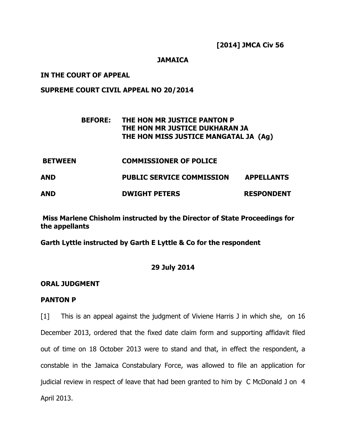**[2014] JMCA Civ 56** 

## **JAMAICA**

## **IN THE COURT OF APPEAL**

## **SUPREME COURT CIVIL APPEAL NO 20/2014**

# **BEFORE: THE HON MR JUSTICE PANTON P THE HON MR JUSTICE DUKHARAN JA THE HON MISS JUSTICE MANGATAL JA (Ag)**

 **BETWEEN COMMISSIONER OF POLICE AND PUBLIC SERVICE COMMISSION APPELLANTS AND DWIGHT PETERS RESPONDENT** 

 **Miss Marlene Chisholm instructed by the Director of State Proceedings for the appellants** 

**Garth Lyttle instructed by Garth E Lyttle & Co for the respondent** 

### **29 July 2014**

### **ORAL JUDGMENT**

### **PANTON P**

[1] This is an appeal against the judgment of Viviene Harris J in which she, on 16 December 2013, ordered that the fixed date claim form and supporting affidavit filed out of time on 18 October 2013 were to stand and that, in effect the respondent, a constable in the Jamaica Constabulary Force, was allowed to file an application for judicial review in respect of leave that had been granted to him by C McDonald J on 4 April 2013.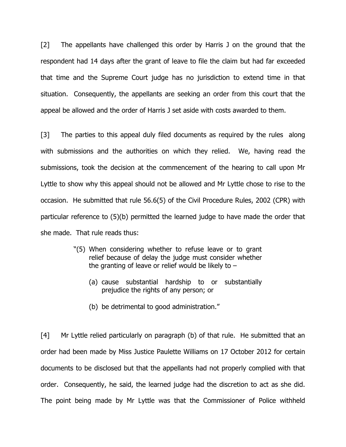[2] The appellants have challenged this order by Harris J on the ground that the respondent had 14 days after the grant of leave to file the claim but had far exceeded that time and the Supreme Court judge has no jurisdiction to extend time in that situation. Consequently, the appellants are seeking an order from this court that the appeal be allowed and the order of Harris J set aside with costs awarded to them.

[3] The parties to this appeal duly filed documents as required by the rules along with submissions and the authorities on which they relied. We, having read the submissions, took the decision at the commencement of the hearing to call upon Mr Lyttle to show why this appeal should not be allowed and Mr Lyttle chose to rise to the occasion. He submitted that rule 56.6(5) of the Civil Procedure Rules, 2002 (CPR) with particular reference to (5)(b) permitted the learned judge to have made the order that she made. That rule reads thus:

- "(5) When considering whether to refuse leave or to grant relief because of delay the judge must consider whether the granting of leave or relief would be likely to  $-$ 
	- (a) cause substantial hardship to or substantially prejudice the rights of any person; or
	- (b) be detrimental to good administration."

[4] Mr Lyttle relied particularly on paragraph (b) of that rule. He submitted that an order had been made by Miss Justice Paulette Williams on 17 October 2012 for certain documents to be disclosed but that the appellants had not properly complied with that order. Consequently, he said, the learned judge had the discretion to act as she did. The point being made by Mr Lyttle was that the Commissioner of Police withheld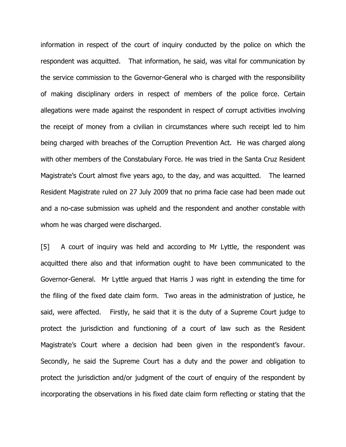information in respect of the court of inquiry conducted by the police on which the respondent was acquitted. That information, he said, was vital for communication by the service commission to the Governor-General who is charged with the responsibility of making disciplinary orders in respect of members of the police force. Certain allegations were made against the respondent in respect of corrupt activities involving the receipt of money from a civilian in circumstances where such receipt led to him being charged with breaches of the Corruption Prevention Act. He was charged along with other members of the Constabulary Force. He was tried in the Santa Cruz Resident Magistrate's Court almost five years ago, to the day, and was acquitted. The learned Resident Magistrate ruled on 27 July 2009 that no prima facie case had been made out and a no-case submission was upheld and the respondent and another constable with whom he was charged were discharged.

[5] A court of inquiry was held and according to Mr Lyttle, the respondent was acquitted there also and that information ought to have been communicated to the Governor-General. Mr Lyttle argued that Harris J was right in extending the time for the filing of the fixed date claim form. Two areas in the administration of justice, he said, were affected. Firstly, he said that it is the duty of a Supreme Court judge to protect the jurisdiction and functioning of a court of law such as the Resident Magistrate's Court where a decision had been given in the respondent's favour. Secondly, he said the Supreme Court has a duty and the power and obligation to protect the jurisdiction and/or judgment of the court of enquiry of the respondent by incorporating the observations in his fixed date claim form reflecting or stating that the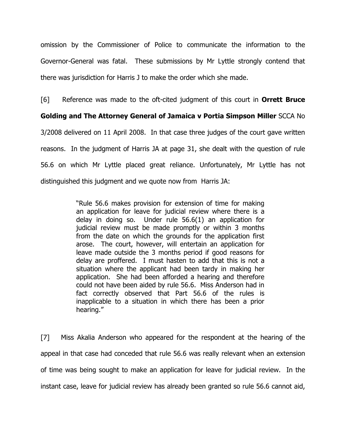omission by the Commissioner of Police to communicate the information to the Governor-General was fatal. These submissions by Mr Lyttle strongly contend that there was jurisdiction for Harris J to make the order which she made.

[6] Reference was made to the oft-cited judgment of this court in **Orrett Bruce** 

**Golding and The Attorney General of Jamaica v Portia Simpson Miller** SCCA No 3/2008 delivered on 11 April 2008. In that case three judges of the court gave written reasons. In the judgment of Harris JA at page 31, she dealt with the question of rule 56.6 on which Mr Lyttle placed great reliance. Unfortunately, Mr Lyttle has not distinguished this judgment and we quote now from Harris JA:

> "Rule 56.6 makes provision for extension of time for making an application for leave for judicial review where there is a delay in doing so. Under rule 56.6(1) an application for judicial review must be made promptly or within 3 months from the date on which the grounds for the application first arose. The court, however, will entertain an application for leave made outside the 3 months period if good reasons for delay are proffered. I must hasten to add that this is not a situation where the applicant had been tardy in making her application. She had been afforded a hearing and therefore could not have been aided by rule 56.6. Miss Anderson had in fact correctly observed that Part 56.6 of the rules is inapplicable to a situation in which there has been a prior hearing."

[7] Miss Akalia Anderson who appeared for the respondent at the hearing of the appeal in that case had conceded that rule 56.6 was really relevant when an extension of time was being sought to make an application for leave for judicial review. In the instant case, leave for judicial review has already been granted so rule 56.6 cannot aid,